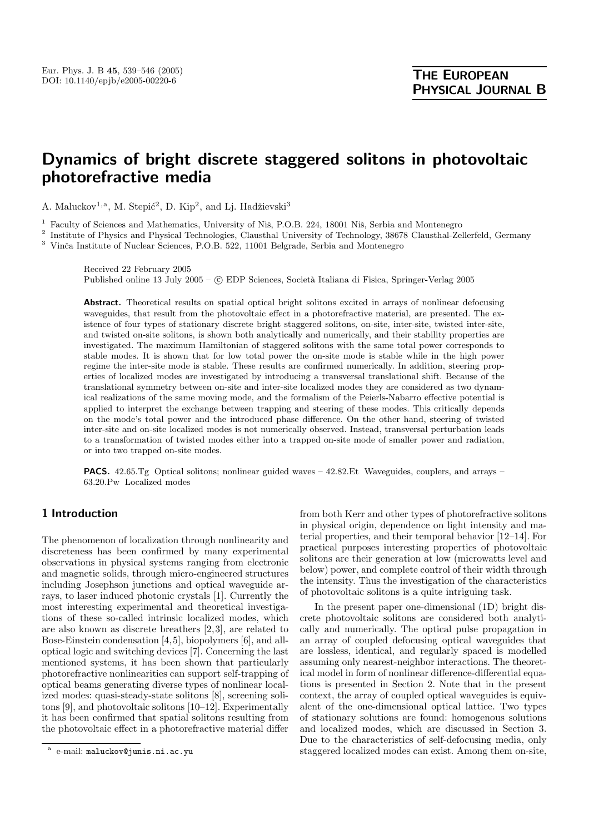# **Dynamics of bright discrete staggered solitons in photovoltaic photorefractive media**

A. Maluckov<sup>1,a</sup>, M. Stepić<sup>2</sup>, D. Kip<sup>2</sup>, and Lj. Hadžievski<sup>3</sup>

Faculty of Sciences and Mathematics, University of Niš, P.O.B. 224, 18001 Niš, Serbia and Montenegro

<sup>2</sup> Institute of Physics and Physical Technologies, Clausthal University of Technology, 38678 Clausthal-Zellerfeld, Germany <sup>3</sup> Vinča Institute of Nuclear Sciences, P.O.B. 522, 11001 Belgrade, Serbia and Montenegro

Received 22 February 2005 Published online 13 July 2005 – © EDP Sciences, Società Italiana di Fisica, Springer-Verlag 2005

**Abstract.** Theoretical results on spatial optical bright solitons excited in arrays of nonlinear defocusing waveguides, that result from the photovoltaic effect in a photorefractive material, are presented. The existence of four types of stationary discrete bright staggered solitons, on-site, inter-site, twisted inter-site, and twisted on-site solitons, is shown both analytically and numerically, and their stability properties are investigated. The maximum Hamiltonian of staggered solitons with the same total power corresponds to stable modes. It is shown that for low total power the on-site mode is stable while in the high power regime the inter-site mode is stable. These results are confirmed numerically. In addition, steering properties of localized modes are investigated by introducing a transversal translational shift. Because of the translational symmetry between on-site and inter-site localized modes they are considered as two dynamical realizations of the same moving mode, and the formalism of the Peierls-Nabarro effective potential is applied to interpret the exchange between trapping and steering of these modes. This critically depends on the mode's total power and the introduced phase difference. On the other hand, steering of twisted inter-site and on-site localized modes is not numerically observed. Instead, transversal perturbation leads to a transformation of twisted modes either into a trapped on-site mode of smaller power and radiation, or into two trapped on-site modes.

**PACS.** 42.65.Tg Optical solitons; nonlinear guided waves – 42.82.Et Waveguides, couplers, and arrays – 63.20.Pw Localized modes

## **1 Introduction**

The phenomenon of localization through nonlinearity and discreteness has been confirmed by many experimental observations in physical systems ranging from electronic and magnetic solids, through micro-engineered structures including Josephson junctions and optical waveguide arrays, to laser induced photonic crystals [1]. Currently the most interesting experimental and theoretical investigations of these so-called intrinsic localized modes, which are also known as discrete breathers [2,3], are related to Bose-Einstein condensation [4,5], biopolymers [6], and alloptical logic and switching devices [7]. Concerning the last mentioned systems, it has been shown that particularly photorefractive nonlinearities can support self-trapping of optical beams generating diverse types of nonlinear localized modes: quasi-steady-state solitons [8], screening solitons [9], and photovoltaic solitons [10–12]. Experimentally it has been confirmed that spatial solitons resulting from the photovoltaic effect in a photorefractive material differ

from both Kerr and other types of photorefractive solitons in physical origin, dependence on light intensity and material properties, and their temporal behavior [12–14]. For practical purposes interesting properties of photovoltaic solitons are their generation at low (microwatts level and below) power, and complete control of their width through the intensity. Thus the investigation of the characteristics of photovoltaic solitons is a quite intriguing task.

In the present paper one-dimensional (1D) bright discrete photovoltaic solitons are considered both analytically and numerically. The optical pulse propagation in an array of coupled defocusing optical waveguides that are lossless, identical, and regularly spaced is modelled assuming only nearest-neighbor interactions. The theoretical model in form of nonlinear difference-differential equations is presented in Section 2. Note that in the present context, the array of coupled optical waveguides is equivalent of the one-dimensional optical lattice. Two types of stationary solutions are found: homogenous solutions and localized modes, which are discussed in Section 3. Due to the characteristics of self-defocusing media, only staggered localized modes can exist. Among them on-site,

e-mail: maluckov@junis.ni.ac.yu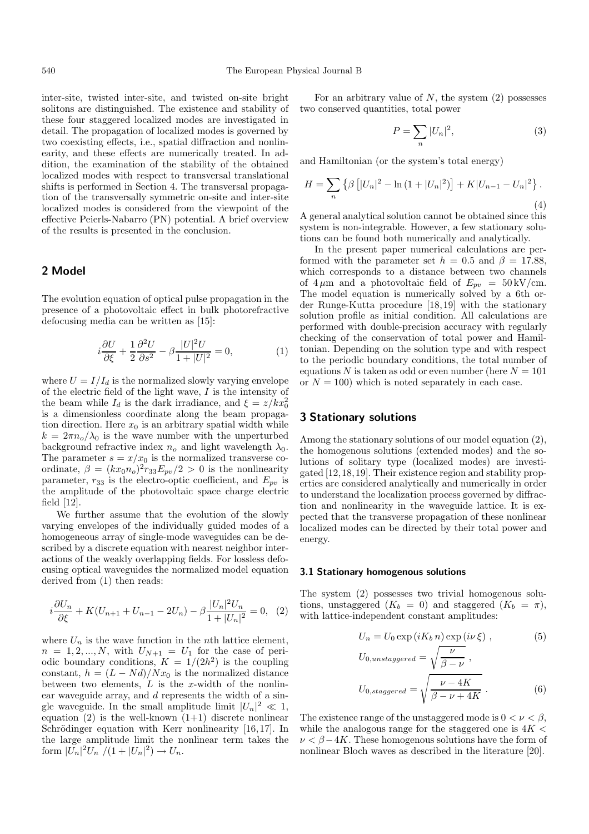inter-site, twisted inter-site, and twisted on-site bright solitons are distinguished. The existence and stability of these four staggered localized modes are investigated in detail. The propagation of localized modes is governed by two coexisting effects, i.e., spatial diffraction and nonlinearity, and these effects are numerically treated. In addition, the examination of the stability of the obtained localized modes with respect to transversal translational shifts is performed in Section 4. The transversal propagation of the transversally symmetric on-site and inter-site localized modes is considered from the viewpoint of the effective Peierls-Nabarro (PN) potential. A brief overview of the results is presented in the conclusion.

## **2 Model**

The evolution equation of optical pulse propagation in the presence of a photovoltaic effect in bulk photorefractive defocusing media can be written as [15]:

$$
i\frac{\partial U}{\partial \xi} + \frac{1}{2} \frac{\partial^2 U}{\partial s^2} - \beta \frac{|U|^2 U}{1 + |U|^2} = 0,\tag{1}
$$

where  $U = I/I_d$  is the normalized slowly varying envelope of the electric field of the light wave,  $I$  is the intensity of the beam while  $I_d$  is the dark irradiance, and  $\xi = z/kx_0^2$ is a dimensionless coordinate along the beam propagation direction. Here  $x_0$  is an arbitrary spatial width while  $k = 2\pi n_o/\lambda_0$  is the wave number with the unperturbed background refractive index  $n<sub>o</sub>$  and light wavelength  $\lambda_0$ . The parameter  $s = x/x_0$  is the normalized transverse coordinate,  $\beta = (kx_0n_o)^2r_{33}E_{pv}/2 > 0$  is the nonlinearity parameter,  $r_{33}$  is the electro-optic coefficient, and  $E_{pv}$  is the amplitude of the photovoltaic space charge electric field [12].

We further assume that the evolution of the slowly varying envelopes of the individually guided modes of a homogeneous array of single-mode waveguides can be described by a discrete equation with nearest neighbor interactions of the weakly overlapping fields. For lossless defocusing optical waveguides the normalized model equation derived from (1) then reads:

$$
i\frac{\partial U_n}{\partial \xi} + K(U_{n+1} + U_{n-1} - 2U_n) - \beta \frac{|U_n|^2 U_n}{1 + |U_n|^2} = 0, \quad (2)
$$

where  $U_n$  is the wave function in the *n*th lattice element,  $n = 1, 2, ..., N$ , with  $U_{N+1} = U_1$  for the case of periodic boundary conditions,  $K = 1/(2h^2)$  is the coupling constant,  $h = (L - Nd)/Nx_0$  is the normalized distance between two elements,  $L$  is the x-width of the nonlinear waveguide array, and d represents the width of a single waveguide. In the small amplitude limit  $|U_n|^2 \ll 1$ , equation  $(2)$  is the well-known  $(1+1)$  discrete nonlinear Schrödinger equation with Kerr nonlinearity  $[16,17]$ . In the large amplitude limit the nonlinear term takes the form  $|\widetilde{U}_n|^2 U_n / (1 + |U_n|^2) \to U_n$ .

For an arbitrary value of  $N$ , the system  $(2)$  possesses two conserved quantities, total power

$$
P = \sum_{n} |U_n|^2,\tag{3}
$$

and Hamiltonian (or the system's total energy)

$$
H = \sum_{n} \left\{ \beta \left[ |U_n|^2 - \ln \left( 1 + |U_n|^2 \right) \right] + K |U_{n-1} - U_n|^2 \right\}.
$$
\n(4)

A general analytical solution cannot be obtained since this system is non-integrable. However, a few stationary solutions can be found both numerically and analytically.

In the present paper numerical calculations are performed with the parameter set  $h = 0.5$  and  $\beta = 17.88$ , which corresponds to a distance between two channels of  $4 \mu m$  and a photovoltaic field of  $E_{pv} = 50 \,\mathrm{kV/cm}$ . The model equation is numerically solved by a 6th order Runge-Kutta procedure [18,19] with the stationary solution profile as initial condition. All calculations are performed with double-precision accuracy with regularly checking of the conservation of total power and Hamiltonian. Depending on the solution type and with respect to the periodic boundary conditions, the total number of equations N is taken as odd or even number (here  $N = 101$ ) or  $N = 100$ ) which is noted separately in each case.

## **3 Stationary solutions**

Among the stationary solutions of our model equation (2), the homogenous solutions (extended modes) and the solutions of solitary type (localized modes) are investigated [12,18,19]. Their existence region and stability properties are considered analytically and numerically in order to understand the localization process governed by diffraction and nonlinearity in the waveguide lattice. It is expected that the transverse propagation of these nonlinear localized modes can be directed by their total power and energy.

#### **3.1 Stationary homogenous solutions**

The system (2) possesses two trivial homogenous solutions, unstaggered  $(K_b = 0)$  and staggered  $(K_b = \pi)$ , with lattice-independent constant amplitudes:

$$
U_n = U_0 \exp\left(iK_b n\right) \exp\left(i\nu \xi\right) ,\qquad (5)
$$

$$
U_{0,unstaggered} = \sqrt{\frac{\nu}{\beta - \nu}},
$$
  

$$
U_{0,staggered} = \sqrt{\frac{\nu - 4K}{\beta - \nu + 4K}}.
$$
 (6)

The existence range of the unstaggered mode is  $0 < \nu < \beta$ , while the analogous range for the staggered one is  $4K <$  $\nu < \beta - 4K$ . These homogenous solutions have the form of nonlinear Bloch waves as described in the literature [20].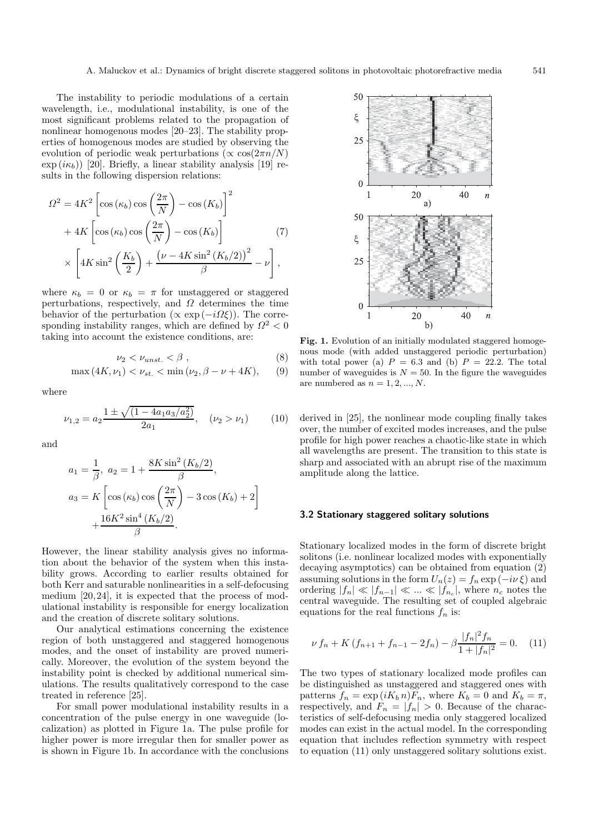The instability to periodic modulations of a certain wavelength, i.e., modulational instability, is one of the most significant problems related to the propagation of nonlinear homogenous modes [20–23]. The stability properties of homogenous modes are studied by observing the evolution of periodic weak perturbations ( $\propto \cos(2\pi n/N)$ )  $\exp(i\kappa_b)$  [20]. Briefly, a linear stability analysis [19] results in the following dispersion relations:

$$
\Omega^2 = 4K^2 \left[ \cos(\kappa_b) \cos\left(\frac{2\pi}{N}\right) - \cos(K_b) \right]^2
$$

$$
+ 4K \left[ \cos(\kappa_b) \cos\left(\frac{2\pi}{N}\right) - \cos(K_b) \right]
$$

$$
\times \left[ 4K \sin^2\left(\frac{K_b}{2}\right) + \frac{(\nu - 4K \sin^2(K_b/2))^2}{\beta} - \nu \right],
$$
 (7)

where  $\kappa_b = 0$  or  $\kappa_b = \pi$  for unstaggered or staggered perturbations, respectively, and  $\Omega$  determines the time behavior of the perturbation ( $\propto \exp(-i\Omega \xi)$ ). The corresponding instability ranges, which are defined by  $\Omega^2 < 0$ taking into account the existence conditions, are:

$$
\nu_2 < \nu_{unst.} < \beta \;, \tag{8}
$$

$$
\max(4K, \nu_1) < \nu_{st.} < \min(\nu_2, \beta - \nu + 4K), \qquad (9)
$$

where

$$
\nu_{1,2} = a_2 \frac{1 \pm \sqrt{(1 - 4a_1 a_3 / a_2^2)}}{2a_1}, \quad (\nu_2 > \nu_1)
$$
 (10)

and

$$
a_1 = \frac{1}{\beta}, \ a_2 = 1 + \frac{8K \sin^2 (K_b/2)}{\beta},
$$
  

$$
a_3 = K \left[ \cos (\kappa_b) \cos \left( \frac{2\pi}{N} \right) - 3 \cos (K_b) + 2 \right]
$$
  

$$
+ \frac{16K^2 \sin^4 (K_b/2)}{\beta}.
$$

However, the linear stability analysis gives no information about the behavior of the system when this instability grows. According to earlier results obtained for both Kerr and saturable nonlinearities in a self-defocusing medium [20,24], it is expected that the process of modulational instability is responsible for energy localization and the creation of discrete solitary solutions.

Our analytical estimations concerning the existence region of both unstaggered and staggered homogenous modes, and the onset of instability are proved numerically. Moreover, the evolution of the system beyond the instability point is checked by additional numerical simulations. The results qualitatively correspond to the case treated in reference [25].

For small power modulational instability results in a concentration of the pulse energy in one waveguide (localization) as plotted in Figure 1a. The pulse profile for higher power is more irregular then for smaller power as is shown in Figure 1b. In accordance with the conclusions



Fig. 1. Evolution of an initially modulated staggered homogenous mode (with added unstaggered periodic perturbation) with total power (a)  $P = 6.3$  and (b)  $P = 22.2$ . The total number of waveguides is  $N = 50$ . In the figure the waveguides are numbered as  $n = 1, 2, ..., N$ .

derived in [25], the nonlinear mode coupling finally takes over, the number of excited modes increases, and the pulse profile for high power reaches a chaotic-like state in which all wavelengths are present. The transition to this state is sharp and associated with an abrupt rise of the maximum amplitude along the lattice.

#### **3.2 Stationary staggered solitary solutions**

Stationary localized modes in the form of discrete bright solitons (i.e. nonlinear localized modes with exponentially decaying asymptotics) can be obtained from equation (2) assuming solutions in the form  $U_n(z) = f_n \exp(-i\nu \xi)$  and ordering  $|f_n| \ll |f_{n-1}| \ll ... \ll |f_{n_c}|$ , where  $n_c$  notes the central waveguide. The resulting set of coupled algebraic equations for the real functions  $f_n$  is:

$$
\nu f_n + K \left( f_{n+1} + f_{n-1} - 2f_n \right) - \beta \frac{|f_n|^2 f_n}{1 + |f_n|^2} = 0. \tag{11}
$$

The two types of stationary localized mode profiles can be distinguished as unstaggered and staggered ones with patterns  $f_n = \exp(i K_b n) F_n$ , where  $K_b = 0$  and  $K_b = \pi$ , respectively, and  $F_n = |f_n| > 0$ . Because of the characteristics of self-defocusing media only staggered localized modes can exist in the actual model. In the corresponding equation that includes reflection symmetry with respect to equation (11) only unstaggered solitary solutions exist.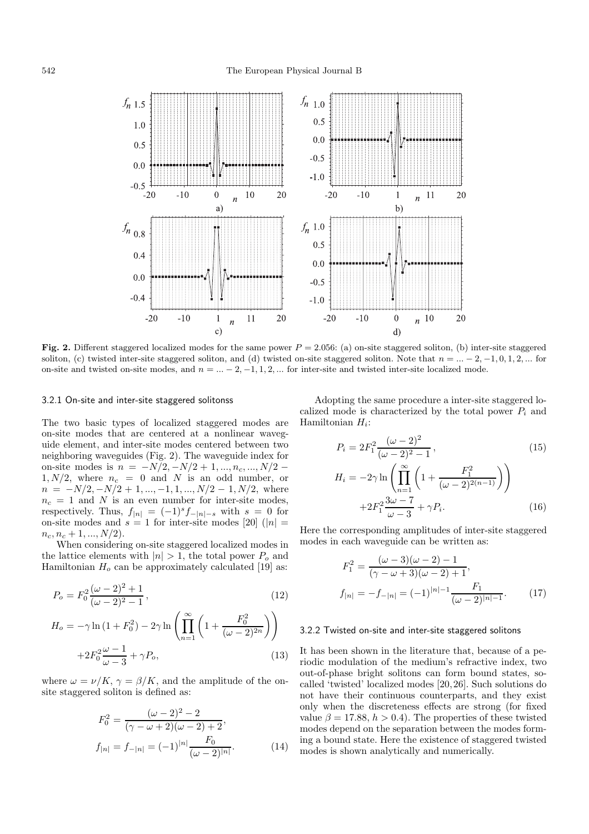### 542 The European Physical Journal B



**Fig. 2.** Different staggered localized modes for the same power  $P = 2.056$ : (a) on-site staggered soliton, (b) inter-site staggered soliton, (c) twisted inter-site staggered soliton, and (d) twisted on-site staggered soliton. Note that  $n = ... - 2, -1, 0, 1, 2, ...$  for on-site and twisted on-site modes, and  $n = ... - 2, -1, 1, 2, ...$  for inter-site and twisted inter-site localized mode.

#### 3.2.1 On-site and inter-site staggered solitonss

The two basic types of localized staggered modes are on-site modes that are centered at <sup>a</sup> nonlinear waveguide element, and inter-site modes centered between two neighboring waveguides (Fig. 2). The waveguide index for on-site modes is  $n = -N/2, -N/2+1, ..., n_c, ..., N/2 1, N/2$ , where  $n_c = 0$  and N is an odd number, or  $n = -N/2, -N/2+1, ..., -1, 1, ..., N/2-1, N/2$ , where  $n_c = 1$  and N is an even number for inter-site modes, respectively. Thus,  $f_{|n|} = (-1)^s f_{-|n|-s}$  with  $s = 0$  for on-site modes and  $s = 1$  for inter-site modes [20] ( $|n| =$  $n_c, n_c + 1, ..., N/2$ .

When considering on-site staggered localized modes in the lattice elements with  $|n| > 1$ , the total power  $P_o$  and Hamiltonian  $H_o$  can be approximately calculated [19] as:

$$
P_o = F_0^2 \frac{(\omega - 2)^2 + 1}{(\omega - 2)^2 - 1},\tag{12}
$$

$$
H_o = -\gamma \ln (1 + F_0^2) - 2\gamma \ln \left( \prod_{n=1}^{\infty} \left( 1 + \frac{F_0^2}{(\omega - 2)^{2n}} \right) \right)
$$
  
+2F\_0^2 \frac{\omega - 1}{\omega - 3} + \gamma P\_o, (13)

where  $\omega = \nu/K$ ,  $\gamma = \beta/K$ , and the amplitude of the onsite staggered soliton is defined as:

$$
F_0^2 = \frac{(\omega - 2)^2 - 2}{(\gamma - \omega + 2)(\omega - 2) + 2},
$$
  
\n
$$
f_{|n|} = f_{-|n|} = (-1)^{|n|} \frac{F_0}{(\omega - 2)^{|n|}}.
$$
\n(14)

Adopting the same procedure <sup>a</sup> inter-site staggered localized mode is characterized by the total power  $P_i$  and Hamiltonian H*i*:

$$
P_i = 2F_1^2 \frac{(\omega - 2)^2}{(\omega - 2)^2 - 1},
$$
\n
$$
H_i = -2\gamma \ln \left( \prod_{n=1}^{\infty} \left( 1 + \frac{F_1^2}{(\omega - 2)^{2(n-1)}} \right) \right)
$$
\n
$$
+2F_1^2 \frac{3\omega - 7}{\omega - 3} + \gamma P_i.
$$
\n(16)

Here the corresponding amplitudes of inter-site staggered modes in each waveguide can be written as:

$$
F_1^2 = \frac{(\omega - 3)(\omega - 2) - 1}{(\gamma - \omega + 3)(\omega - 2) + 1},
$$
  
\n
$$
f_{|n|} = -f_{-|n|} = (-1)^{|n|-1} \frac{F_1}{(\omega - 2)^{|n|-1}}.
$$
 (17)

#### 3.2.2 Twisted on-site and inter-site staggered solitons

It has been shown in the literature that, because of <sup>a</sup> periodic modulation of the medium's refractive index, two out-of-phase bright solitons can form bound states, socalled 'twisted' localized modes [20,26]. Such solutions do not have their continuous counterparts, and they exist only when the discreteness effects are strong (for fixed value  $\beta = 17.88$ ,  $h > 0.4$ ). The properties of these twisted modes depend on the separation between the modes forming <sup>a</sup> bound state. Here the existence of staggered twisted modes is shown analytically and numerically.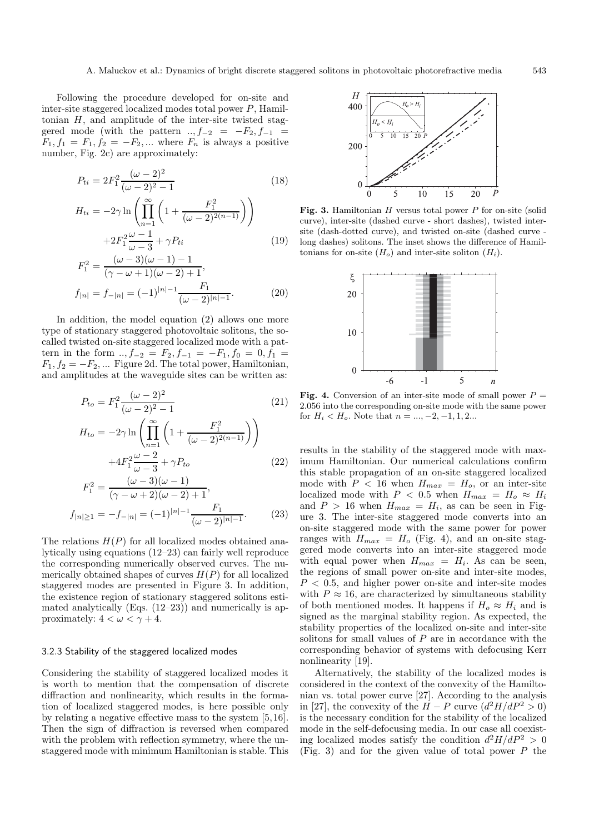Following the procedure developed for on-site and inter-site staggered localized modes total power P, Hamiltonian  $H$ , and amplitude of the inter-site twisted staggered mode (with the pattern  $..., f_{-2} = -F_2, f_{-1} =$  $F_1, f_1 = F_1, f_2 = -F_2, \dots$  where  $F_n$  is always a positive number, Fig. 2c) are approximately:

$$
P_{ti} = 2F_1^2 \frac{(\omega - 2)^2}{(\omega - 2)^2 - 1}
$$
\n
$$
H_{ti} = -2\gamma \ln \left( \prod_{n=1}^{\infty} \left( 1 + \frac{F_1^2}{(\omega - 2)^{2(n-1)}} \right) \right)
$$
\n(18)

$$
+2F_1^2 \frac{\omega - 1}{\omega - 3} + \gamma P_{ti}
$$
\n<sup>(19)</sup>

$$
F_1^2 = \frac{(\omega - 3)(\omega - 1) - 1}{(\gamma - \omega + 1)(\omega - 2) + 1},
$$
  
\n
$$
f_{|n|} = f_{-|n|} = (-1)^{|n|-1} \frac{F_1}{(\omega - 2)^{|n|-1}}.
$$
\n(20)

In addition, the model equation (2) allows one more type of stationary staggered photovoltaic solitons, the socalled twisted on-site staggered localized mode with a pattern in the form ..,  $f_{-2} = F_2, f_{-1} = -F_1, f_0 = 0, f_1 =$  $F_1, f_2 = -F_2, \dots$  Figure 2d. The total power, Hamiltonian, and amplitudes at the waveguide sites can be written as:

$$
P_{to} = F_1^2 \frac{(\omega - 2)^2}{(\omega - 2)^2 - 1}
$$
(21)  

$$
H_{to} = -2\gamma \ln \left( \prod_{n=1}^{\infty} \left( 1 + \frac{F_1^2}{(\omega - 2)^{2(n-1)}} \right) \right)
$$

$$
+4F_1^2 \frac{\omega - 2}{\omega - 3} + \gamma P_{to}
$$
(22)

$$
F_1^2 = \frac{(\omega - 3)(\omega - 1)}{(\gamma - \omega + 2)(\omega - 2) + 1},
$$
  
\n
$$
f_{|n| \ge 1} = -f_{-|n|} = (-1)^{|n|-1} \frac{F_1}{(\omega - 2)^{|n|-1}}.
$$
 (23)

The relations  $H(P)$  for all localized modes obtained analytically using equations (12–23) can fairly well reproduce the corresponding numerically observed curves. The numerically obtained shapes of curves  $H(P)$  for all localized staggered modes are presented in Figure 3. In addition, the existence region of stationary staggered solitons estimated analytically (Eqs.  $(12-23)$ ) and numerically is approximately:  $4 < \omega < \gamma + 4$ .

#### 3.2.3 Stability of the staggered localized modes

Considering the stability of staggered localized modes it is worth to mention that the compensation of discrete diffraction and nonlinearity, which results in the formation of localized staggered modes, is here possible only by relating a negative effective mass to the system [5,16]. Then the sign of diffraction is reversed when compared with the problem with reflection symmetry, where the unstaggered mode with minimum Hamiltonian is stable. This



Fig. 3. Hamiltonian H versus total power P for on-site (solid curve), inter-site (dashed curve - short dashes), twisted intersite (dash-dotted curve), and twisted on-site (dashed curve long dashes) solitons. The inset shows the difference of Hamiltonians for on-site  $(H_o)$  and inter-site soliton  $(H_i)$ .



**Fig. 4.** Conversion of an inter-site mode of small power  $P =$ 2.056 into the corresponding on-site mode with the same power for  $H_i < H_o$ . Note that  $n = ..., -2, -1, 1, 2...$ 

results in the stability of the staggered mode with maximum Hamiltonian. Our numerical calculations confirm this stable propagation of an on-site staggered localized mode with  $P < 16$  when  $H_{max} = H_o$ , or an inter-site localized mode with  $P < 0.5$  when  $H_{max} = H_o \approx H_i$ and  $P > 16$  when  $H_{max} = H_i$ , as can be seen in Figure 3. The inter-site staggered mode converts into an on-site staggered mode with the same power for power ranges with  $H_{max} = H_o$  (Fig. 4), and an on-site staggered mode converts into an inter-site staggered mode with equal power when  $H_{max} = H_i$ . As can be seen, the regions of small power on-site and inter-site modes,  $P < 0.5$ , and higher power on-site and inter-site modes with  $P \approx 16$ , are characterized by simultaneous stability of both mentioned modes. It happens if  $H_0 \approx H_i$  and is signed as the marginal stability region. As expected, the stability properties of the localized on-site and inter-site solitons for small values of P are in accordance with the corresponding behavior of systems with defocusing Kerr nonlinearity [19].

Alternatively, the stability of the localized modes is considered in the context of the convexity of the Hamiltonian vs. total power curve [27]. According to the analysis in [27], the convexity of the  $H - P$  curve  $(d^2H/dP^2 > 0)$ is the necessary condition for the stability of the localized mode in the self-defocusing media. In our case all coexisting localized modes satisfy the condition  $d^2H/dP^2 > 0$ (Fig. 3) and for the given value of total power  $P$  the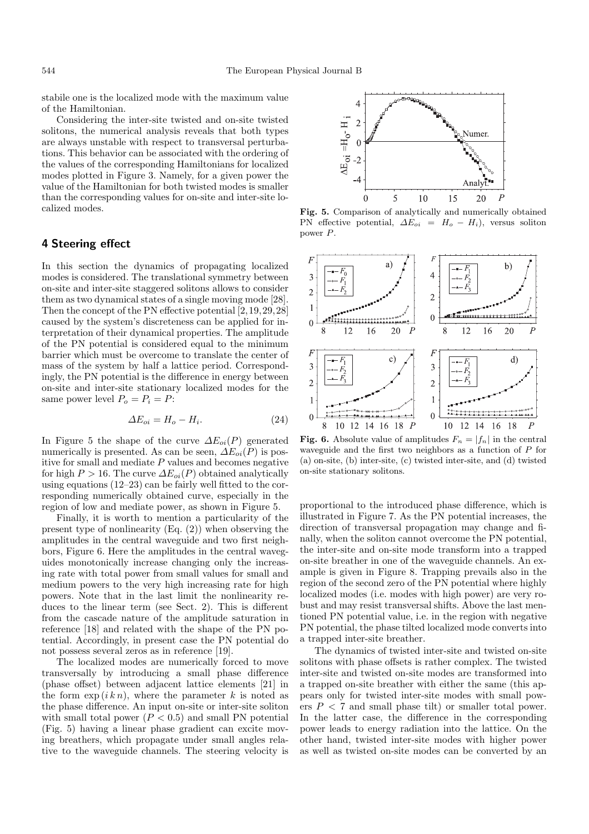stabile one is the localized mode with the maximum value of the Hamiltonian.

Considering the inter-site twisted and on-site twisted solitons, the numerical analysis reveals that both types are always unstable with respect to transversal perturbations. This behavior can be associated with the ordering of the values of the corresponding Hamiltonians for localized modes plotted in Figure 3. Namely, for a given power the value of the Hamiltonian for both twisted modes is smaller than the corresponding values for on-site and inter-site localized modes.

## **4 Steering effect**

In this section the dynamics of propagating localized modes is considered. The translational symmetry between on-site and inter-site staggered solitons allows to consider them as two dynamical states of a single moving mode [28]. Then the concept of the PN effective potential [2,19,29,28] caused by the system's discreteness can be applied for interpretation of their dynamical properties. The amplitude of the PN potential is considered equal to the minimum barrier which must be overcome to translate the center of mass of the system by half a lattice period. Correspondingly, the PN potential is the difference in energy between on-site and inter-site stationary localized modes for the same power level  $P_o = P_i = P$ :

$$
\Delta E_{oi} = H_o - H_i. \tag{24}
$$

In Figure 5 the shape of the curve  $\Delta E_{oi}(P)$  generated numerically is presented. As can be seen,  $\Delta E_{oi}(P)$  is positive for small and mediate  $P$  values and becomes negative for high  $P > 16$ . The curve  $\Delta E_{oi}(P)$  obtained analytically using equations (12–23) can be fairly well fitted to the corresponding numerically obtained curve, especially in the region of low and mediate power, as shown in Figure 5.

Finally, it is worth to mention a particularity of the present type of nonlinearity (Eq. (2)) when observing the amplitudes in the central waveguide and two first neighbors, Figure 6. Here the amplitudes in the central waveguides monotonically increase changing only the increasing rate with total power from small values for small and medium powers to the very high increasing rate for high powers. Note that in the last limit the nonlinearity reduces to the linear term (see Sect. 2). This is different from the cascade nature of the amplitude saturation in reference [18] and related with the shape of the PN potential. Accordingly, in present case the PN potential do not possess several zeros as in reference [19].

The localized modes are numerically forced to move transversally by introducing a small phase difference (phase offset) between adjacent lattice elements [21] in the form  $\exp(ikn)$ , where the parameter k is noted as the phase difference. An input on-site or inter-site soliton with small total power  $(P < 0.5)$  and small PN potential (Fig. 5) having a linear phase gradient can excite moving breathers, which propagate under small angles relative to the waveguide channels. The steering velocity is



**Fig. 5.** Comparison of analytically and numerically obtained PN effective potential,  $\Delta E_{oi} = H_o - H_i$ , versus soliton power P.



**Fig. 6.** Absolute value of amplitudes  $F_n = |f_n|$  in the central waveguide and the first two neighbors as a function of  $P$  for (a) on-site, (b) inter-site, (c) twisted inter-site, and (d) twisted on-site stationary solitons.

proportional to the introduced phase difference, which is illustrated in Figure 7. As the PN potential increases, the direction of transversal propagation may change and finally, when the soliton cannot overcome the PN potential, the inter-site and on-site mode transform into a trapped on-site breather in one of the waveguide channels. An example is given in Figure 8. Trapping prevails also in the region of the second zero of the PN potential where highly localized modes (i.e. modes with high power) are very robust and may resist transversal shifts. Above the last mentioned PN potential value, i.e. in the region with negative PN potential, the phase tilted localized mode converts into a trapped inter-site breather.

The dynamics of twisted inter-site and twisted on-site solitons with phase offsets is rather complex. The twisted inter-site and twisted on-site modes are transformed into a trapped on-site breather with either the same (this appears only for twisted inter-site modes with small powers  $P < 7$  and small phase tilt) or smaller total power. In the latter case, the difference in the corresponding power leads to energy radiation into the lattice. On the other hand, twisted inter-site modes with higher power as well as twisted on-site modes can be converted by an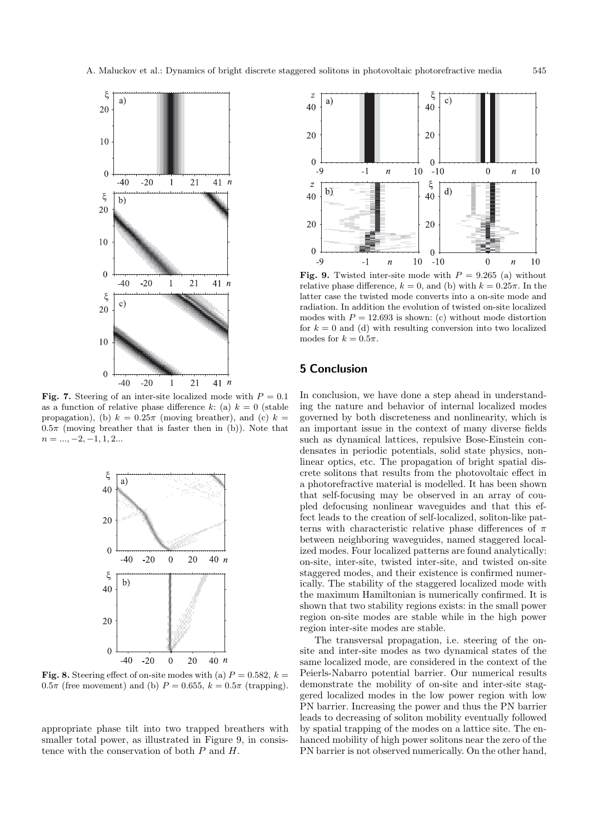

**Fig. 7.** Steering of an inter-site localized mode with  $P = 0.1$ as a function of relative phase difference k: (a)  $k = 0$  (stable propagation), (b)  $k = 0.25\pi$  (moving breather), and (c)  $k =$  $0.5\pi$  (moving breather that is faster then in (b)). Note that  $n = ..., -2, -1, 1, 2...$ 



**Fig. 8.** Steering effect of on-site modes with (a)  $P = 0.582$ ,  $k =$  $0.5\pi$  (free movement) and (b)  $P = 0.655$ ,  $k = 0.5\pi$  (trapping).

appropriate phase tilt into two trapped breathers with smaller total power, as illustrated in Figure 9, in consistence with the conservation of both P and H.



**Fig. 9.** Twisted inter-site mode with  $P = 9.265$  (a) without relative phase difference,  $k = 0$ , and (b) with  $k = 0.25\pi$ . In the latter case the twisted mode converts into a on-site mode and radiation. In addition the evolution of twisted on-site localized modes with  $P = 12.693$  is shown: (c) without mode distortion for  $k = 0$  and (d) with resulting conversion into two localized modes for  $k = 0.5\pi$ .

## **5 Conclusion**

In conclusion, we have done a step ahead in understanding the nature and behavior of internal localized modes governed by both discreteness and nonlinearity, which is an important issue in the context of many diverse fields such as dynamical lattices, repulsive Bose-Einstein condensates in periodic potentials, solid state physics, nonlinear optics, etc. The propagation of bright spatial discrete solitons that results from the photovoltaic effect in a photorefractive material is modelled. It has been shown that self-focusing may be observed in an array of coupled defocusing nonlinear waveguides and that this effect leads to the creation of self-localized, soliton-like patterns with characteristic relative phase differences of  $\pi$ between neighboring waveguides, named staggered localized modes. Four localized patterns are found analytically: on-site, inter-site, twisted inter-site, and twisted on-site staggered modes, and their existence is confirmed numerically. The stability of the staggered localized mode with the maximum Hamiltonian is numerically confirmed. It is shown that two stability regions exists: in the small power region on-site modes are stable while in the high power region inter-site modes are stable.

The transversal propagation, i.e. steering of the onsite and inter-site modes as two dynamical states of the same localized mode, are considered in the context of the Peierls-Nabarro potential barrier. Our numerical results demonstrate the mobility of on-site and inter-site staggered localized modes in the low power region with low PN barrier. Increasing the power and thus the PN barrier leads to decreasing of soliton mobility eventually followed by spatial trapping of the modes on a lattice site. The enhanced mobility of high power solitons near the zero of the PN barrier is not observed numerically. On the other hand,